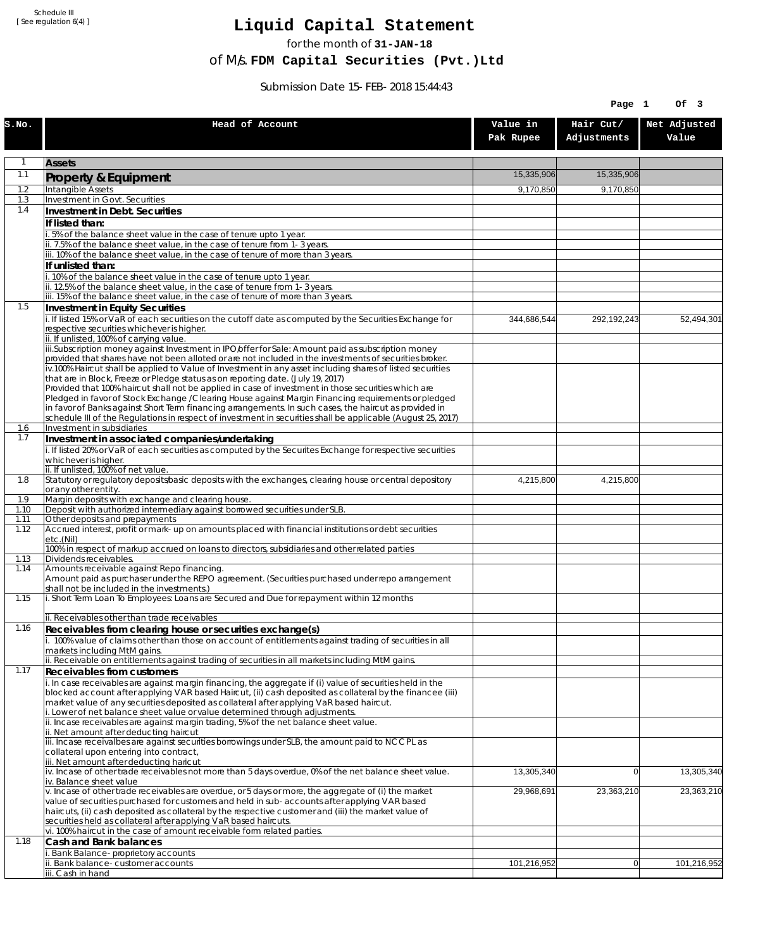Schedule III [ See regulation 6(4) ]

## **Liquid Capital Statement**

for the month of **31-JAN-18**

of M/s. **FDM Capital Securities (Pvt.)Ltd**

Submission Date 15-FEB-2018 15:44:43

|              |                                                                                                                                                                                                                        |                       | Page 1                   | Of 3                  |
|--------------|------------------------------------------------------------------------------------------------------------------------------------------------------------------------------------------------------------------------|-----------------------|--------------------------|-----------------------|
| S.NO.        | Head of Account                                                                                                                                                                                                        | Value in<br>Pak Rupee | Hair Cut/<br>Adjustments | Net Adjusted<br>Value |
| 1            | <b>Assets</b>                                                                                                                                                                                                          |                       |                          |                       |
| 1.1          | Property & Equipment                                                                                                                                                                                                   | 15,335,906            | 15,335,906               |                       |
| 1.2          | Intangible Assets                                                                                                                                                                                                      | 9,170,850             | 9,170,850                |                       |
| 1.3<br>1.4   | Investment in Govt. Securities<br>Investment in Debt. Securities                                                                                                                                                       |                       |                          |                       |
|              | If listed than:                                                                                                                                                                                                        |                       |                          |                       |
|              | .5% of the balance sheet value in the case of tenure upto 1 year.                                                                                                                                                      |                       |                          |                       |
|              | ii. 7.5% of the balance sheet value, in the case of tenure from 1-3 years.                                                                                                                                             |                       |                          |                       |
|              | iii. 10% of the balance sheet value, in the case of tenure of more than 3 years.<br>If unlisted than:                                                                                                                  |                       |                          |                       |
|              | i. 10% of the balance sheet value in the case of tenure upto 1 year.                                                                                                                                                   |                       |                          |                       |
|              | ii. 12.5% of the balance sheet value, in the case of tenure from 1-3 years.<br>iii. 15% of the balance sheet value, in the case of tenure of more than 3 years.                                                        |                       |                          |                       |
| 1.5          | Investment in Equity Securities                                                                                                                                                                                        |                       |                          |                       |
|              | i. If listed 15% or VaR of each securities on the cutoff date as computed by the Securities Exchange for                                                                                                               | 344,686,544           | 292,192,243              | 52,494,301            |
|              | respective securities whichever is higher.                                                                                                                                                                             |                       |                          |                       |
|              | ii. If unlisted, 100% of carrying value.<br>iii.Subscription money against Investment in IPO/offer for Sale: Amount paid as subscription money                                                                         |                       |                          |                       |
|              | provided that shares have not been alloted or are not included in the investments of securities broker.                                                                                                                |                       |                          |                       |
|              | iv.100% Haircut shall be applied to Value of Investment in any asset including shares of listed securities<br>that are in Block, Freeze or Pledge status as on reporting date. (July 19, 2017)                         |                       |                          |                       |
|              | Provided that 100% haircut shall not be applied in case of investment in those securities which are                                                                                                                    |                       |                          |                       |
|              | Pledged in favor of Stock Exchange / Clearing House against Margin Financing requirements or pledged                                                                                                                   |                       |                          |                       |
|              | in favor of Banks against Short Term financing arrangements. In such cases, the haircut as provided in<br>schedule III of the Regulations in respect of investment in securities shall be applicable (August 25, 2017) |                       |                          |                       |
| 1.6          | Investment in subsidiaries                                                                                                                                                                                             |                       |                          |                       |
| 1.7          | Investment in associated companies/undertaking                                                                                                                                                                         |                       |                          |                       |
|              | i. If listed 20% or VaR of each securities as computed by the Securites Exchange for respective securities<br>whichever is higher.                                                                                     |                       |                          |                       |
|              | ii. If unlisted, 100% of net value.                                                                                                                                                                                    |                       |                          |                       |
| 1.8          | Statutory or regulatory deposits/basic deposits with the exchanges, clearing house or central depository<br>or any other entity.                                                                                       | 4,215,800             | 4,215,800                |                       |
| 1.9          | Margin deposits with exchange and clearing house.                                                                                                                                                                      |                       |                          |                       |
| 1.10<br>1.11 | Deposit with authorized intermediary against borrowed securities under SLB.<br>Other deposits and prepayments                                                                                                          |                       |                          |                       |
| 1.12         | Accrued interest, profit or mark-up on amounts placed with financial institutions or debt securities                                                                                                                   |                       |                          |                       |
|              | etc.(Nil)<br>100% in respect of markup accrued on loans to directors, subsidiaries and other related parties                                                                                                           |                       |                          |                       |
| 1.13         | Dividends receivables.                                                                                                                                                                                                 |                       |                          |                       |
| 1.14         | Amounts receivable against Repo financing.                                                                                                                                                                             |                       |                          |                       |
|              | Amount paid as purchaser under the REPO agreement. (Securities purchased under repo arrangement<br>shall not be included in the investments.)                                                                          |                       |                          |                       |
| 1.15         | i. Short Term Loan To Employees: Loans are Secured and Due for repayment within 12 months                                                                                                                              |                       |                          |                       |
|              | ii. Receivables other than trade receivables                                                                                                                                                                           |                       |                          |                       |
| 1.16         | Receivables from clearing house or securities exchange(s)                                                                                                                                                              |                       |                          |                       |
|              | i. 100% value of claims other than those on account of entitlements against trading of securities in all                                                                                                               |                       |                          |                       |
|              | markets including MtM gains.<br>ii. Receivable on entitlements against trading of securities in all markets including MtM gains.                                                                                       |                       |                          |                       |
| 1.17         | Receivables from customers                                                                                                                                                                                             |                       |                          |                       |
|              | i. In case receivables are against margin financing, the aggregate if (i) value of securities held in the                                                                                                              |                       |                          |                       |
|              | blocked account after applying VAR based Haircut, (ii) cash deposited as collateral by the financee (iii)<br>market value of any securities deposited as collateral after applying VaR based haircut.                  |                       |                          |                       |
|              | i. Lower of net balance sheet value or value determined through adjustments.                                                                                                                                           |                       |                          |                       |
|              | ii. Incase receivables are against margin trading, 5% of the net balance sheet value.                                                                                                                                  |                       |                          |                       |
|              | ii. Net amount after deducting haircut<br>iii. Incase receivalbes are against securities borrowings under SLB, the amount paid to NCCPL as                                                                             |                       |                          |                       |
|              | collateral upon entering into contract,                                                                                                                                                                                |                       |                          |                       |
|              | iii. Net amount after deducting haricut<br>iv. Incase of other trade receivables not more than 5 days overdue, 0% of the net balance sheet value.                                                                      | 13,305,340            | $\overline{0}$           | 13,305,340            |
|              | iv. Balance sheet value                                                                                                                                                                                                |                       |                          |                       |
|              | v. Incase of other trade receivables are overdue, or 5 days or more, the aggregate of (i) the market                                                                                                                   | 29,968,691            | 23,363,210               | 23,363,210            |
|              | value of securities purchased for customers and held in sub-accounts after applying VAR based<br>haircuts, (ii) cash deposited as collateral by the respective customer and (iii) the market value of                  |                       |                          |                       |
|              | securities held as collateral after applying VaR based haircuts.                                                                                                                                                       |                       |                          |                       |
| 1.18         | vi. 100% haircut in the case of amount receivable form related parties.<br>Cash and Bank balances                                                                                                                      |                       |                          |                       |
|              | i. Bank Balance-proprietory accounts                                                                                                                                                                                   |                       |                          |                       |
|              | Bank balance-customer accounts                                                                                                                                                                                         | 101,216,952           | 0                        | 101,216,952           |
|              | iii. Cash in hand                                                                                                                                                                                                      |                       |                          |                       |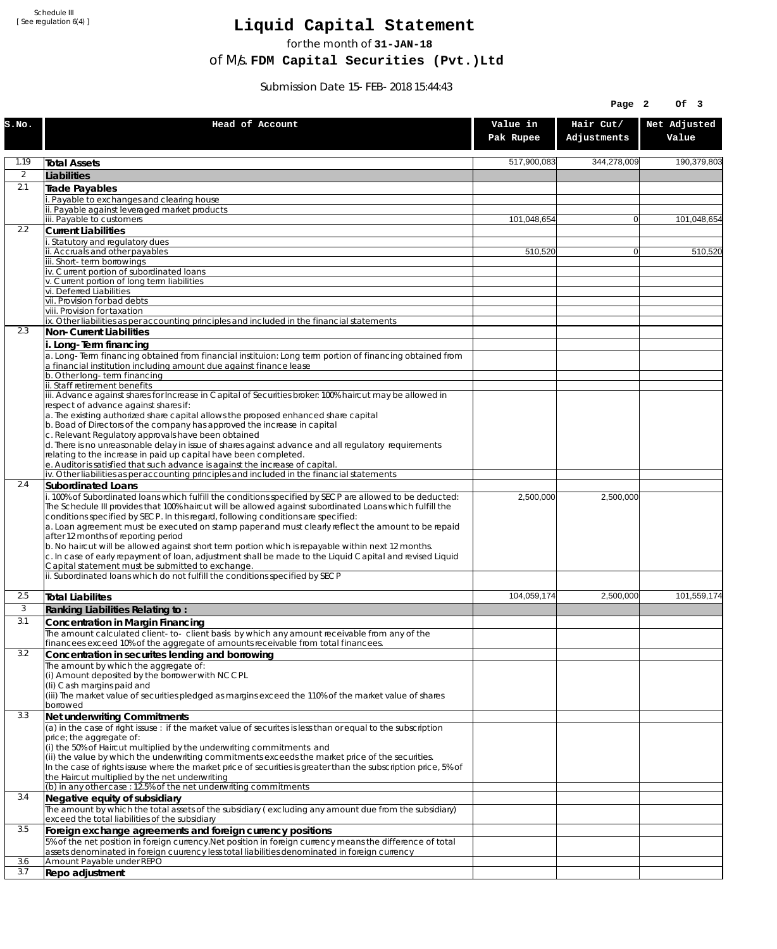Schedule III [ See regulation 6(4) ]

## **Liquid Capital Statement**

for the month of **31-JAN-18**

of M/s. **FDM Capital Securities (Pvt.)Ltd**

Submission Date 15-FEB-2018 15:44:43

|                |                                                                                                                                                                                                                                                                                                                                                                                                                                                                                                                                                             |                       | Page 2                   | Of 3                  |
|----------------|-------------------------------------------------------------------------------------------------------------------------------------------------------------------------------------------------------------------------------------------------------------------------------------------------------------------------------------------------------------------------------------------------------------------------------------------------------------------------------------------------------------------------------------------------------------|-----------------------|--------------------------|-----------------------|
| S.NO.          | Head of Account                                                                                                                                                                                                                                                                                                                                                                                                                                                                                                                                             | Value in<br>Pak Rupee | Hair Cut/<br>Adjustments | Net Adjusted<br>Value |
| 1.19           | <b>Total Assets</b>                                                                                                                                                                                                                                                                                                                                                                                                                                                                                                                                         | 517,900,083           | 344,278,009              | 190,379,803           |
| $\overline{2}$ | Liabilities                                                                                                                                                                                                                                                                                                                                                                                                                                                                                                                                                 |                       |                          |                       |
| 2.1            | Trade Payables                                                                                                                                                                                                                                                                                                                                                                                                                                                                                                                                              |                       |                          |                       |
|                | Payable to exchanges and clearing house                                                                                                                                                                                                                                                                                                                                                                                                                                                                                                                     |                       |                          |                       |
|                | . Payable against leveraged market products<br>iii. Payable to customers                                                                                                                                                                                                                                                                                                                                                                                                                                                                                    | 101,048,654           | $\overline{0}$           | 101,048,654           |
| 2.2            | <b>Current Liabilities</b>                                                                                                                                                                                                                                                                                                                                                                                                                                                                                                                                  |                       |                          |                       |
|                | Statutory and regulatory dues                                                                                                                                                                                                                                                                                                                                                                                                                                                                                                                               |                       |                          |                       |
|                | ii. Accruals and other payables<br>ii. Short-term borrowings                                                                                                                                                                                                                                                                                                                                                                                                                                                                                                | 510,520               | $\overline{0}$           | 510.520               |
|                | iv. Current portion of subordinated loans                                                                                                                                                                                                                                                                                                                                                                                                                                                                                                                   |                       |                          |                       |
|                | v. Current portion of long term liabilities<br>vi. Deferred Liabilities                                                                                                                                                                                                                                                                                                                                                                                                                                                                                     |                       |                          |                       |
|                | vii. Provision for bad debts                                                                                                                                                                                                                                                                                                                                                                                                                                                                                                                                |                       |                          |                       |
|                | viii. Provision for taxation                                                                                                                                                                                                                                                                                                                                                                                                                                                                                                                                |                       |                          |                       |
| 2.3            | ix. Other liabilities as per accounting principles and included in the financial statements<br>Non-Current Liabilities                                                                                                                                                                                                                                                                                                                                                                                                                                      |                       |                          |                       |
|                | i. Long-Term financing                                                                                                                                                                                                                                                                                                                                                                                                                                                                                                                                      |                       |                          |                       |
|                | a. Long-Term financing obtained from financial instituion: Long term portion of financing obtained from<br>a financial institution including amount due against finance lease                                                                                                                                                                                                                                                                                                                                                                               |                       |                          |                       |
|                | b. Other long-term financing<br>ii. Staff retirement benefits                                                                                                                                                                                                                                                                                                                                                                                                                                                                                               |                       |                          |                       |
|                | iii. Advance against shares for Increase in Capital of Securities broker: 100% haircut may be allowed in<br>respect of advance against shares if:                                                                                                                                                                                                                                                                                                                                                                                                           |                       |                          |                       |
|                | a. The existing authorized share capital allows the proposed enhanced share capital<br>b. Boad of Directors of the company has approved the increase in capital                                                                                                                                                                                                                                                                                                                                                                                             |                       |                          |                       |
|                | c. Relevant Regulatory approvals have been obtained<br>d. There is no unreasonable delay in issue of shares against advance and all regulatory requirements<br>relating to the increase in paid up capital have been completed.                                                                                                                                                                                                                                                                                                                             |                       |                          |                       |
|                | e. Auditor is satisfied that such advance is against the increase of capital.                                                                                                                                                                                                                                                                                                                                                                                                                                                                               |                       |                          |                       |
| 2.4            | iv. Other liabilities as per accounting principles and included in the financial statements<br>Subordinated Loans                                                                                                                                                                                                                                                                                                                                                                                                                                           |                       |                          |                       |
|                | . 100% of Subordinated loans which fulfill the conditions specified by SECP are allowed to be deducted:<br>The Schedule III provides that 100% haircut will be allowed against subordinated Loans which fulfill the<br>conditions specified by SECP. In this regard, following conditions are specified:<br>a. Loan agreement must be executed on stamp paper and must clearly reflect the amount to be repaid<br>after 12 months of reporting period<br>b. No haircut will be allowed against short term portion which is repayable within next 12 months. | 2,500,000             | 2,500,000                |                       |
|                | c. In case of early repayment of loan, adjustment shall be made to the Liquid Capital and revised Liquid<br>Capital statement must be submitted to exchange.<br>ii. Subordinated loans which do not fulfill the conditions specified by SECP                                                                                                                                                                                                                                                                                                                |                       |                          |                       |
|                |                                                                                                                                                                                                                                                                                                                                                                                                                                                                                                                                                             |                       |                          |                       |
| 2.5            | <b>Total Liabilites</b>                                                                                                                                                                                                                                                                                                                                                                                                                                                                                                                                     | 104.059.174           | 2,500,000                | 101,559,174           |
| 3              | Ranking Liabilities Relating to:                                                                                                                                                                                                                                                                                                                                                                                                                                                                                                                            |                       |                          |                       |
| 3.1            | Concentration in Margin Financing                                                                                                                                                                                                                                                                                                                                                                                                                                                                                                                           |                       |                          |                       |
|                | The amount calculated client-to- client basis by which any amount receivable from any of the<br>financees exceed 10% of the aggregate of amounts receivable from total financees.                                                                                                                                                                                                                                                                                                                                                                           |                       |                          |                       |
| 3.2            | Concentration in securites lending and borrowing                                                                                                                                                                                                                                                                                                                                                                                                                                                                                                            |                       |                          |                       |
|                | The amount by which the aggregate of:<br>(i) Amount deposited by the borrower with NCCPL                                                                                                                                                                                                                                                                                                                                                                                                                                                                    |                       |                          |                       |
|                | (Ii) Cash margins paid and<br>(iii) The market value of securities pledged as margins exceed the 110% of the market value of shares<br>borrowed                                                                                                                                                                                                                                                                                                                                                                                                             |                       |                          |                       |
| 3.3            | Net underwriting Commitments                                                                                                                                                                                                                                                                                                                                                                                                                                                                                                                                |                       |                          |                       |
|                | (a) in the case of right issuse: if the market value of securites is less than or equal to the subscription                                                                                                                                                                                                                                                                                                                                                                                                                                                 |                       |                          |                       |
|                | price; the aggregate of:<br>(i) the 50% of Haircut multiplied by the underwriting commitments and<br>(ii) the value by which the underwriting commitments exceeds the market price of the securities.<br>In the case of rights issuse where the market price of securities is greater than the subscription price, 5% of                                                                                                                                                                                                                                    |                       |                          |                       |
|                | the Haircut multiplied by the net underwriting                                                                                                                                                                                                                                                                                                                                                                                                                                                                                                              |                       |                          |                       |
|                | (b) in any other case: 12.5% of the net underwriting commitments                                                                                                                                                                                                                                                                                                                                                                                                                                                                                            |                       |                          |                       |
| 3.4            | Negative equity of subsidiary<br>The amount by which the total assets of the subsidiary (excluding any amount due from the subsidiary)<br>exceed the total liabilities of the subsidiary                                                                                                                                                                                                                                                                                                                                                                    |                       |                          |                       |
| 3.5            | Foreign exchange agreements and foreign currency positions                                                                                                                                                                                                                                                                                                                                                                                                                                                                                                  |                       |                          |                       |
|                | 5% of the net position in foreign currency. Net position in foreign currency means the difference of total<br>assets denominated in foreign cuurency less total liabilities denominated in foreign currency                                                                                                                                                                                                                                                                                                                                                 |                       |                          |                       |
| 3.6<br>3.7     | Amount Payable under REPO                                                                                                                                                                                                                                                                                                                                                                                                                                                                                                                                   |                       |                          |                       |
|                | Repo adjustment                                                                                                                                                                                                                                                                                                                                                                                                                                                                                                                                             |                       |                          |                       |